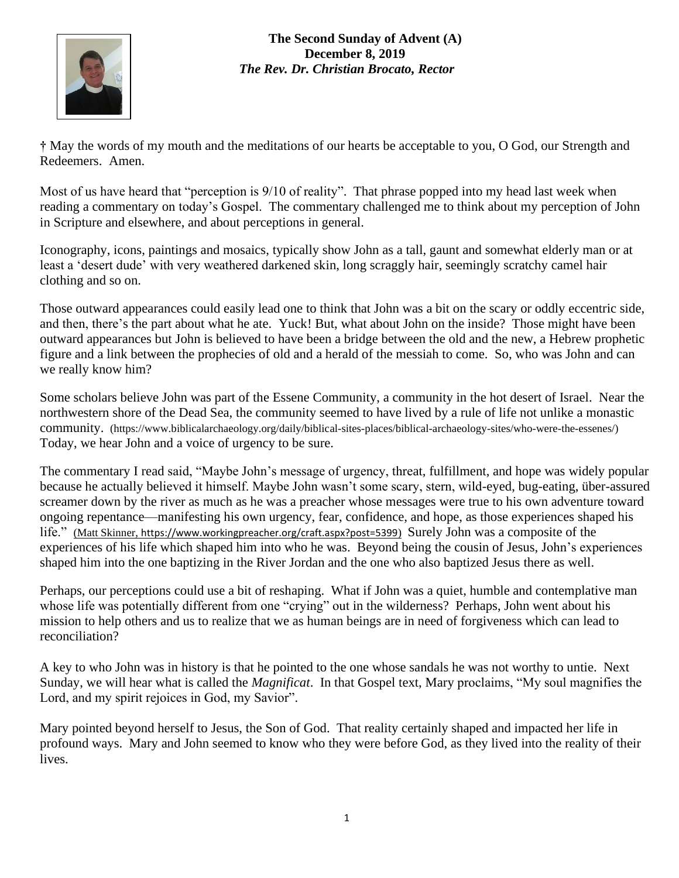

**The Second Sunday of Advent (A) December 8, 2019** *The Rev. Dr. Christian Brocato, Rector*

**†** May the words of my mouth and the meditations of our hearts be acceptable to you, O God, our Strength and Redeemers. Amen.

Most of us have heard that "perception is 9/10 of reality". That phrase popped into my head last week when reading a commentary on today's Gospel. The commentary challenged me to think about my perception of John in Scripture and elsewhere, and about perceptions in general.

Iconography, icons, paintings and mosaics, typically show John as a tall, gaunt and somewhat elderly man or at least a 'desert dude' with very weathered darkened skin, long scraggly hair, seemingly scratchy camel hair clothing and so on.

Those outward appearances could easily lead one to think that John was a bit on the scary or oddly eccentric side, and then, there's the part about what he ate. Yuck! But, what about John on the inside? Those might have been outward appearances but John is believed to have been a bridge between the old and the new, a Hebrew prophetic figure and a link between the prophecies of old and a herald of the messiah to come. So, who was John and can we really know him?

Some scholars believe John was part of the Essene Community, a community in the hot desert of Israel. Near the northwestern shore of the Dead Sea, the community seemed to have lived by a rule of life not unlike a monastic community. [\(https://www.biblicalarchaeology.org/daily/biblical-sites-places/biblical-archaeology-sites/who-were-the-essenes/\)](https://www.biblicalarchaeology.org/daily/biblical-sites-places/biblical-archaeology-sites/who-were-the-essenes/) Today, we hear John and a voice of urgency to be sure.

The commentary I read said, "Maybe John's message of urgency, threat, fulfillment, and hope was widely popular because he actually believed it himself. Maybe John wasn't some scary, stern, wild-eyed, bug-eating, über-assured screamer down by the river as much as he was a preacher whose messages were true to his own adventure toward ongoing repentance—manifesting his own urgency, fear, confidence, and hope, as those experiences shaped his life." (Matt Skinner, <https://www.workingpreacher.org/craft.aspx?post=5399>) Surely John was a composite of the experiences of his life which shaped him into who he was. Beyond being the cousin of Jesus, John's experiences shaped him into the one baptizing in the River Jordan and the one who also baptized Jesus there as well.

Perhaps, our perceptions could use a bit of reshaping. What if John was a quiet, humble and contemplative man whose life was potentially different from one "crying" out in the wilderness? Perhaps, John went about his mission to help others and us to realize that we as human beings are in need of forgiveness which can lead to reconciliation?

A key to who John was in history is that he pointed to the one whose sandals he was not worthy to untie. Next Sunday, we will hear what is called the *Magnificat*. In that Gospel text, Mary proclaims, "My soul magnifies the Lord, and my spirit rejoices in God, my Savior".

Mary pointed beyond herself to Jesus, the Son of God. That reality certainly shaped and impacted her life in profound ways. Mary and John seemed to know who they were before God, as they lived into the reality of their lives.